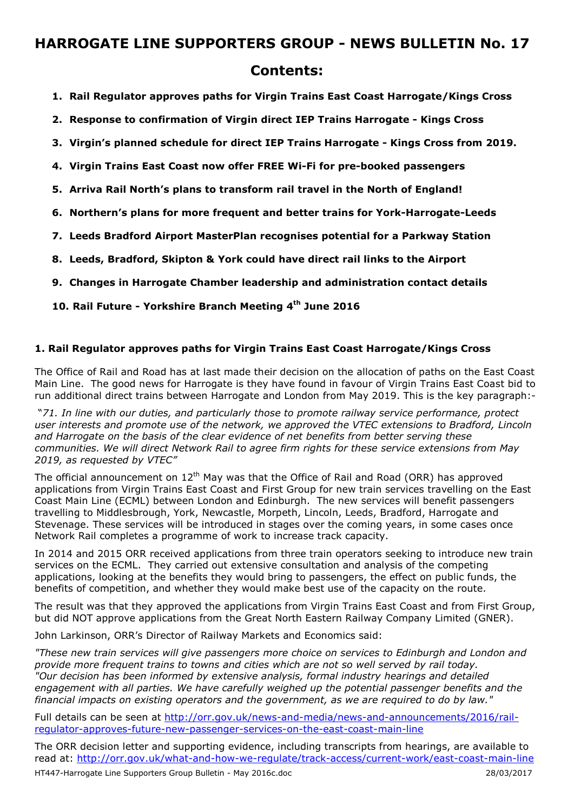### **Contents:**

- **1. Rail Regulator approves paths for Virgin Trains East Coast Harrogate/Kings Cross**
- **2. Response to confirmation of Virgin direct IEP Trains Harrogate Kings Cross**
- **3. Virgin's planned schedule for direct IEP Trains Harrogate Kings Cross from 2019.**
- **4. Virgin Trains East Coast now offer FREE Wi-Fi for pre-booked passengers**
- **5. Arriva Rail North's plans to transform rail travel in the North of England!**
- **6. Northern's plans for more frequent and better trains for York-Harrogate-Leeds**
- **7. Leeds Bradford Airport MasterPlan recognises potential for a Parkway Station**
- **8. Leeds, Bradford, Skipton & York could have direct rail links to the Airport**
- **9. Changes in Harrogate Chamber leadership and administration contact details**
- **10. Rail Future Yorkshire Branch Meeting 4th June 2016**

### **1. Rail Regulator approves paths for Virgin Trains East Coast Harrogate/Kings Cross**

The Office of Rail and Road has at last made their decision on the allocation of paths on the East Coast Main Line. The good news for Harrogate is they have found in favour of Virgin Trains East Coast bid to run additional direct trains between Harrogate and London from May 2019. This is the key paragraph:-

 "*71. In line with our duties, and particularly those to promote railway service performance, protect user interests and promote use of the network, we approved the VTEC extensions to Bradford, Lincoln and Harrogate on the basis of the clear evidence of net benefits from better serving these communities. We will direct Network Rail to agree firm rights for these service extensions from May 2019, as requested by VTEC"* 

The official announcement on 12<sup>th</sup> May was that the Office of Rail and Road (ORR) has approved applications from Virgin Trains East Coast and First Group for new train services travelling on the East Coast Main Line (ECML) between London and Edinburgh. The new services will benefit passengers travelling to Middlesbrough, York, Newcastle, Morpeth, Lincoln, Leeds, Bradford, Harrogate and Stevenage. These services will be introduced in stages over the coming years, in some cases once Network Rail completes a programme of work to increase track capacity.

In 2014 and 2015 ORR received applications from three train operators seeking to introduce new train services on the ECML. They carried out extensive consultation and analysis of the competing applications, looking at the benefits they would bring to passengers, the effect on public funds, the benefits of competition, and whether they would make best use of the capacity on the route.

The result was that they approved the applications from Virgin Trains East Coast and from First Group, but did NOT approve applications from the Great North Eastern Railway Company Limited (GNER).

John Larkinson, ORR's Director of Railway Markets and Economics said:

*"These new train services will give passengers more choice on services to Edinburgh and London and provide more frequent trains to towns and cities which are not so well served by rail today. "Our decision has been informed by extensive analysis, formal industry hearings and detailed engagement with all parties. We have carefully weighed up the potential passenger benefits and the financial impacts on existing operators and the government, as we are required to do by law."*

Full details can be seen at http://orr.gov.uk/news-and-media/news-and-announcements/2016/railregulator-approves-future-new-passenger-services-on-the-east-coast-main-line

HT447-Harrogate Line Supporters Group Bulletin - May 2016c.doc 28/03/2017 The ORR decision letter and supporting evidence, including transcripts from hearings, are available to read at: http://orr.gov.uk/what-and-how-we-regulate/track-access/current-work/east-coast-main-line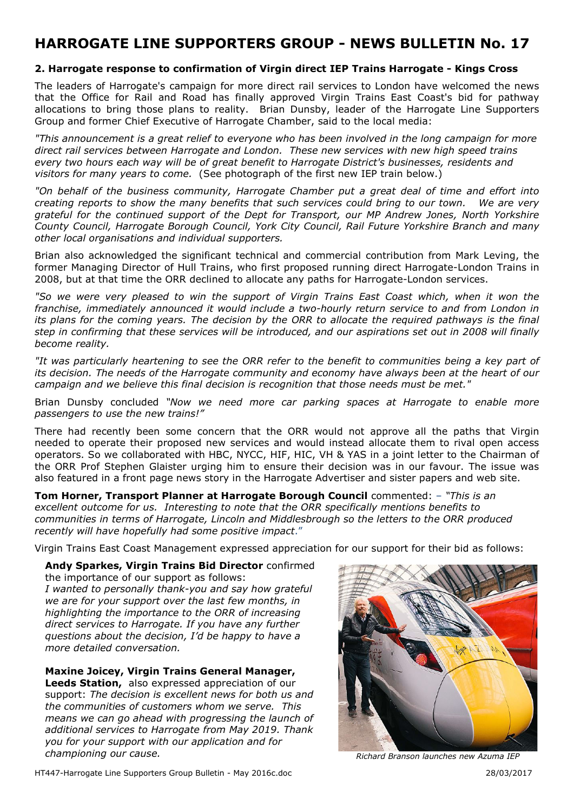### **2. Harrogate response to confirmation of Virgin direct IEP Trains Harrogate - Kings Cross**

The leaders of Harrogate's campaign for more direct rail services to London have welcomed the news that the Office for Rail and Road has finally approved Virgin Trains East Coast's bid for pathway allocations to bring those plans to reality. Brian Dunsby, leader of the Harrogate Line Supporters Group and former Chief Executive of Harrogate Chamber, said to the local media:

*"This announcement is a great relief to everyone who has been involved in the long campaign for more direct rail services between Harrogate and London. These new services with new high speed trains every two hours each way will be of great benefit to Harrogate District's businesses, residents and visitors for many years to come.* (See photograph of the first new IEP train below.)

*"On behalf of the business community, Harrogate Chamber put a great deal of time and effort into creating reports to show the many benefits that such services could bring to our town. We are very grateful for the continued support of the Dept for Transport, our MP Andrew Jones, North Yorkshire County Council, Harrogate Borough Council, York City Council, Rail Future Yorkshire Branch and many other local organisations and individual supporters.* 

Brian also acknowledged the significant technical and commercial contribution from Mark Leving, the former Managing Director of Hull Trains, who first proposed running direct Harrogate-London Trains in 2008, but at that time the ORR declined to allocate any paths for Harrogate-London services.

*"So we were very pleased to win the support of Virgin Trains East Coast which, when it won the franchise, immediately announced it would include a two-hourly return service to and from London in its plans for the coming years. The decision by the ORR to allocate the required pathways is the final step in confirming that these services will be introduced, and our aspirations set out in 2008 will finally become reality.* 

*"It was particularly heartening to see the ORR refer to the benefit to communities being a key part of its decision. The needs of the Harrogate community and economy have always been at the heart of our campaign and we believe this final decision is recognition that those needs must be met."* 

Brian Dunsby concluded *"Now we need more car parking spaces at Harrogate to enable more passengers to use the new trains!"* 

There had recently been some concern that the ORR would not approve all the paths that Virgin needed to operate their proposed new services and would instead allocate them to rival open access operators. So we collaborated with HBC, NYCC, HIF, HIC, VH & YAS in a joint letter to the Chairman of the ORR Prof Stephen Glaister urging him to ensure their decision was in our favour. The issue was also featured in a front page news story in the Harrogate Advertiser and sister papers and web site.

**Tom Horner, Transport Planner at Harrogate Borough Council** commented: – *"This is an excellent outcome for us. Interesting to note that the ORR specifically mentions benefits to communities in terms of Harrogate, Lincoln and Middlesbrough so the letters to the ORR produced recently will have hopefully had some positive impact*."

Virgin Trains East Coast Management expressed appreciation for our support for their bid as follows:

**Andy Sparkes, Virgin Trains Bid Director** confirmed the importance of our support as follows: *I wanted to personally thank-you and say how grateful we are for your support over the last few months, in highlighting the importance to the ORR of increasing direct services to Harrogate. If you have any further questions about the decision, I'd be happy to have a more detailed conversation.* 

**Maxine Joicey, Virgin Trains General Manager, Leeds Station,** also expressed appreciation of our support: *The decision is excellent news for both us and the communities of customers whom we serve. This means we can go ahead with progressing the launch of additional services to Harrogate from May 2019. Thank you for your support with our application and for championing our cause. Richard Branson launches new Azuma IEP* 



HT447-Harrogate Line Supporters Group Bulletin - May 2016c.doc 28/03/2017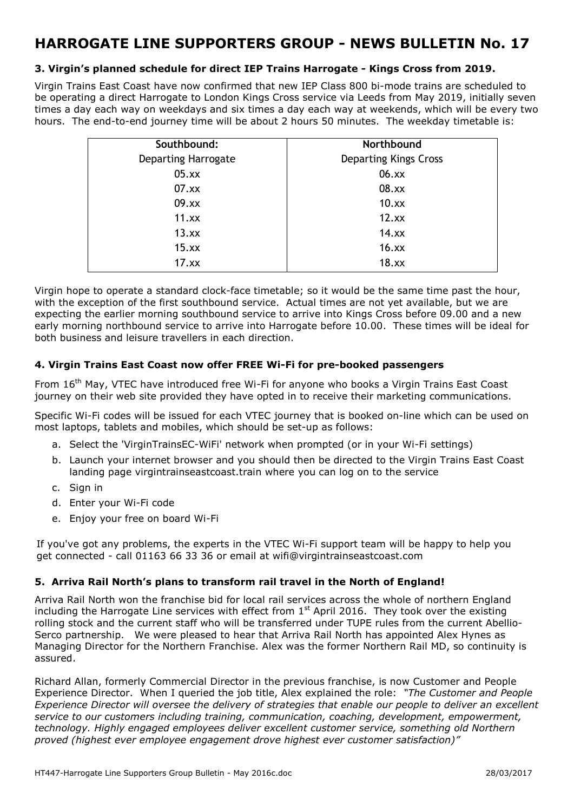### **3. Virgin's planned schedule for direct IEP Trains Harrogate - Kings Cross from 2019.**

Virgin Trains East Coast have now confirmed that new IEP Class 800 bi-mode trains are scheduled to be operating a direct Harrogate to London Kings Cross service via Leeds from May 2019, initially seven times a day each way on weekdays and six times a day each way at weekends, which will be every two hours. The end-to-end journey time will be about 2 hours 50 minutes. The weekday timetable is:

| Southbound:                | Northbound                   |
|----------------------------|------------------------------|
| <b>Departing Harrogate</b> | <b>Departing Kings Cross</b> |
| 05.xx                      | 06.xx                        |
| 07.xx                      | 08.xx                        |
| 09.xx                      | 10.xx                        |
| 11.xx                      | 12.xx                        |
| 13.xx                      | 14.xx                        |
| 15.xx                      | 16.xx                        |
| 17.xx                      | 18.xx                        |

Virgin hope to operate a standard clock-face timetable; so it would be the same time past the hour, with the exception of the first southbound service. Actual times are not yet available, but we are expecting the earlier morning southbound service to arrive into Kings Cross before 09.00 and a new early morning northbound service to arrive into Harrogate before 10.00. These times will be ideal for both business and leisure travellers in each direction.

#### **4. Virgin Trains East Coast now offer FREE Wi-Fi for pre-booked passengers**

From 16th May, VTEC have introduced free Wi-Fi for anyone who books a Virgin Trains East Coast journey on their web site provided they have opted in to receive their marketing communications.

Specific Wi-Fi codes will be issued for each VTEC journey that is booked on-line which can be used on most laptops, tablets and mobiles, which should be set-up as follows:

- a. Select the 'VirginTrainsEC-WiFi' network when prompted (or in your Wi-Fi settings)
- b. Launch your internet browser and you should then be directed to the Virgin Trains East Coast landing page virgintrainseastcoast.train where you can log on to the service
- c. Sign in
- d. Enter your Wi-Fi code
- e. Enjoy your free on board Wi-Fi

If you've got any problems, the experts in the VTEC Wi-Fi support team will be happy to help you get connected - call 01163 66 33 36 or email at wifi@virgintrainseastcoast.com

### **5. Arriva Rail North's plans to transform rail travel in the North of England!**

Arriva Rail North won the franchise bid for local rail services across the whole of northern England including the Harrogate Line services with effect from 1<sup>st</sup> April 2016. They took over the existing rolling stock and the current staff who will be transferred under TUPE rules from the current Abellio-Serco partnership. We were pleased to hear that Arriva Rail North has appointed Alex Hynes as Managing Director for the Northern Franchise. Alex was the former Northern Rail MD, so continuity is assured.

Richard Allan, formerly Commercial Director in the previous franchise, is now Customer and People Experience Director. When I queried the job title, Alex explained the role: *"The Customer and People Experience Director will oversee the delivery of strategies that enable our people to deliver an excellent service to our customers including training, communication, coaching, development, empowerment, technology. Highly engaged employees deliver excellent customer service, something old Northern proved (highest ever employee engagement drove highest ever customer satisfaction)"*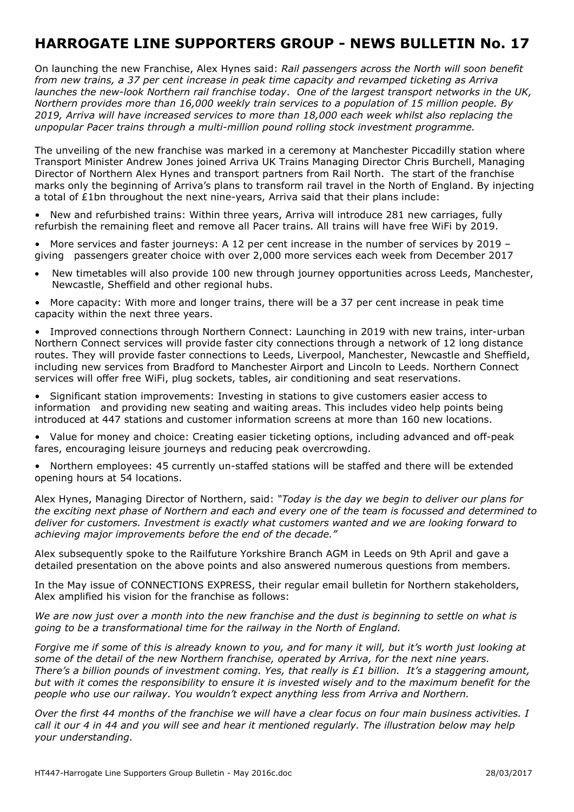On launching the new Franchise, Alex Hynes said: *Rail passengers across the North will soon benefit from new trains, a 37 per cent increase in peak time capacity and revamped ticketing as Arriva launches the new-look Northern rail franchise today*. *One of the largest transport networks in the UK, Northern provides more than 16,000 weekly train services to a population of 15 million people. By 2019, Arriva will have increased services to more than 18,000 each week whilst also replacing the unpopular Pacer trains through a multi-million pound rolling stock investment programme.*

The unveiling of the new franchise was marked in a ceremony at Manchester Piccadilly station where Transport Minister Andrew Jones joined Arriva UK Trains Managing Director Chris Burchell, Managing Director of Northern Alex Hynes and transport partners from Rail North. The start of the franchise marks only the beginning of Arriva's plans to transform rail travel in the North of England. By injecting a total of £1bn throughout the next nine-years, Arriva said that their plans include:

• New and refurbished trains: Within three years, Arriva will introduce 281 new carriages, fully refurbish the remaining fleet and remove all Pacer trains. All trains will have free WiFi by 2019.

• More services and faster journeys: A 12 per cent increase in the number of services by 2019 – giving passengers greater choice with over 2,000 more services each week from December 2017

• New timetables will also provide 100 new through journey opportunities across Leeds, Manchester, Newcastle, Sheffield and other regional hubs.

• More capacity: With more and longer trains, there will be a 37 per cent increase in peak time capacity within the next three years.

Improved connections through Northern Connect: Launching in 2019 with new trains, inter-urban Northern Connect services will provide faster city connections through a network of 12 long distance routes. They will provide faster connections to Leeds, Liverpool, Manchester, Newcastle and Sheffield, including new services from Bradford to Manchester Airport and Lincoln to Leeds. Northern Connect services will offer free WiFi, plug sockets, tables, air conditioning and seat reservations.

• Significant station improvements: Investing in stations to give customers easier access to information and providing new seating and waiting areas. This includes video help points being introduced at 447 stations and customer information screens at more than 160 new locations.

• Value for money and choice: Creating easier ticketing options, including advanced and off-peak fares, encouraging leisure journeys and reducing peak overcrowding.

• Northern employees: 45 currently un-staffed stations will be staffed and there will be extended opening hours at 54 locations.

Alex Hynes, Managing Director of Northern, said: *"Today is the day we begin to deliver our plans for the exciting next phase of Northern and each and every one of the team is focussed and determined to deliver for customers. Investment is exactly what customers wanted and we are looking forward to achieving major improvements before the end of the decade."* 

Alex subsequently spoke to the Railfuture Yorkshire Branch AGM in Leeds on 9th April and gave a detailed presentation on the above points and also answered numerous questions from members.

In the May issue of CONNECTIONS EXPRESS, their regular email bulletin for Northern stakeholders, Alex amplified his vision for the franchise as follows:

*We are now just over a month into the new franchise and the dust is beginning to settle on what is going to be a transformational time for the railway in the North of England.*

*Forgive me if some of this is already known to you, and for many it will, but it's worth just looking at some of the detail of the new Northern franchise, operated by Arriva, for the next nine years. There's a billion pounds of investment coming. Yes, that really is £1 billion. It's a staggering amount, but with it comes the responsibility to ensure it is invested wisely and to the maximum benefit for the people who use our railway. You wouldn't expect anything less from Arriva and Northern.* 

*Over the first 44 months of the franchise we will have a clear focus on four main business activities. I call it our 4 in 44 and you will see and hear it mentioned regularly. The illustration below may help your understanding.*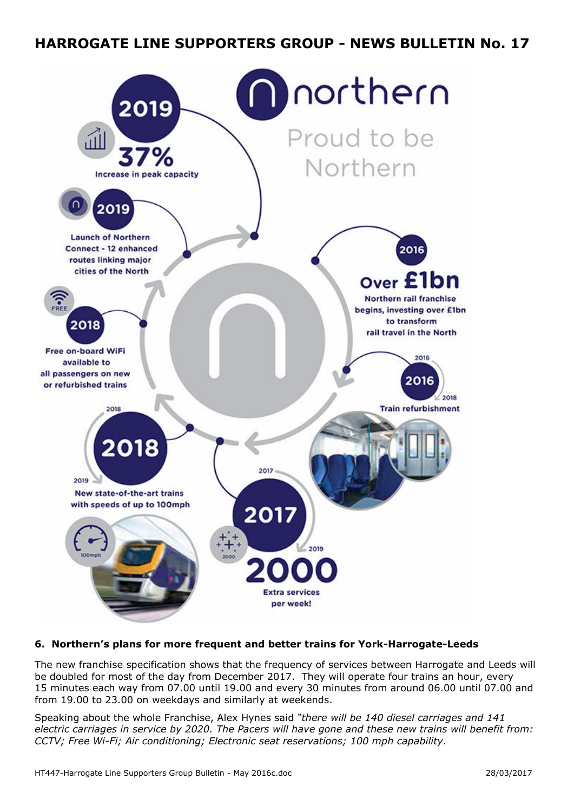

### **6. Northern's plans for more frequent and better trains for York-Harrogate-Leeds**

The new franchise specification shows that the frequency of services between Harrogate and Leeds will be doubled for most of the day from December 2017. They will operate four trains an hour, every 15 minutes each way from 07.00 until 19.00 and every 30 minutes from around 06.00 until 07.00 and from 19.00 to 23.00 on weekdays and similarly at weekends.

Speaking about the whole Franchise, Alex Hynes said *"there will be 140 diesel carriages and 141 electric carriages in service by 2020. The Pacers will have gone and these new trains will benefit from: CCTV; Free Wi-Fi; Air conditioning; Electronic seat reservations; 100 mph capability.*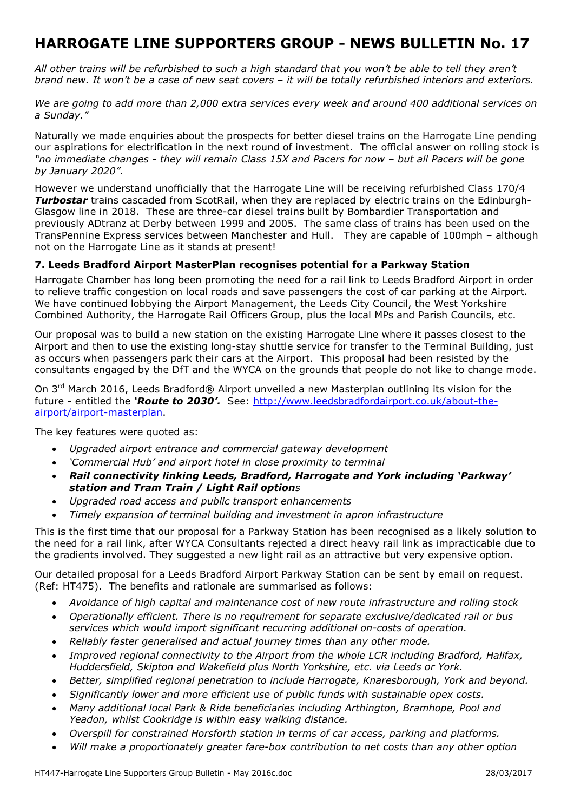*All other trains will be refurbished to such a high standard that you won't be able to tell they aren't brand new. It won't be a case of new seat covers – it will be totally refurbished interiors and exteriors.* 

*We are going to add more than 2,000 extra services every week and around 400 additional services on a Sunday."*

Naturally we made enquiries about the prospects for better diesel trains on the Harrogate Line pending our aspirations for electrification in the next round of investment. The official answer on rolling stock is *"no immediate changes - they will remain Class 15X and Pacers for now – but all Pacers will be gone by January 2020".* 

However we understand unofficially that the Harrogate Line will be receiving refurbished Class 170/4 *Turbostar* trains cascaded from ScotRail, when they are replaced by electric trains on the Edinburgh-Glasgow line in 2018. These are three-car diesel trains built by Bombardier Transportation and previously ADtranz at Derby between 1999 and 2005. The same class of trains has been used on the TransPennine Express services between Manchester and Hull. They are capable of 100mph – although not on the Harrogate Line as it stands at present!

### **7. Leeds Bradford Airport MasterPlan recognises potential for a Parkway Station**

Harrogate Chamber has long been promoting the need for a rail link to Leeds Bradford Airport in order to relieve traffic congestion on local roads and save passengers the cost of car parking at the Airport. We have continued lobbying the Airport Management, the Leeds City Council, the West Yorkshire Combined Authority, the Harrogate Rail Officers Group, plus the local MPs and Parish Councils, etc.

Our proposal was to build a new station on the existing Harrogate Line where it passes closest to the Airport and then to use the existing long-stay shuttle service for transfer to the Terminal Building, just as occurs when passengers park their cars at the Airport. This proposal had been resisted by the consultants engaged by the DfT and the WYCA on the grounds that people do not like to change mode.

On 3<sup>rd</sup> March 2016, Leeds Bradford® Airport unveiled a new Masterplan outlining its vision for the future - entitled the *'Route to 2030'.* See: http://www.leedsbradfordairport.co.uk/about-theairport/airport-masterplan.

The key features were quoted as:

- *Upgraded airport entrance and commercial gateway development*
- *'Commercial Hub' and airport hotel in close proximity to terminal*
- *Rail connectivity linking Leeds, Bradford, Harrogate and York including 'Parkway' station and Tram Train / Light Rail options*
- *Upgraded road access and public transport enhancements*
- *Timely expansion of terminal building and investment in apron infrastructure*

This is the first time that our proposal for a Parkway Station has been recognised as a likely solution to the need for a rail link, after WYCA Consultants rejected a direct heavy rail link as impracticable due to the gradients involved. They suggested a new light rail as an attractive but very expensive option.

Our detailed proposal for a Leeds Bradford Airport Parkway Station can be sent by email on request. (Ref: HT475). The benefits and rationale are summarised as follows:

- *Avoidance of high capital and maintenance cost of new route infrastructure and rolling stock*
- *Operationally efficient. There is no requirement for separate exclusive/dedicated rail or bus services which would import significant recurring additional on-costs of operation.*
- *Reliably faster generalised and actual journey times than any other mode.*
- *Improved regional connectivity to the Airport from the whole LCR including Bradford, Halifax, Huddersfield, Skipton and Wakefield plus North Yorkshire, etc. via Leeds or York.*
- *Better, simplified regional penetration to include Harrogate, Knaresborough, York and beyond.*
- *Significantly lower and more efficient use of public funds with sustainable opex costs.*
- *Many additional local Park & Ride beneficiaries including Arthington, Bramhope, Pool and Yeadon, whilst Cookridge is within easy walking distance.*
- *Overspill for constrained Horsforth station in terms of car access, parking and platforms.*
- *Will make a proportionately greater fare-box contribution to net costs than any other option*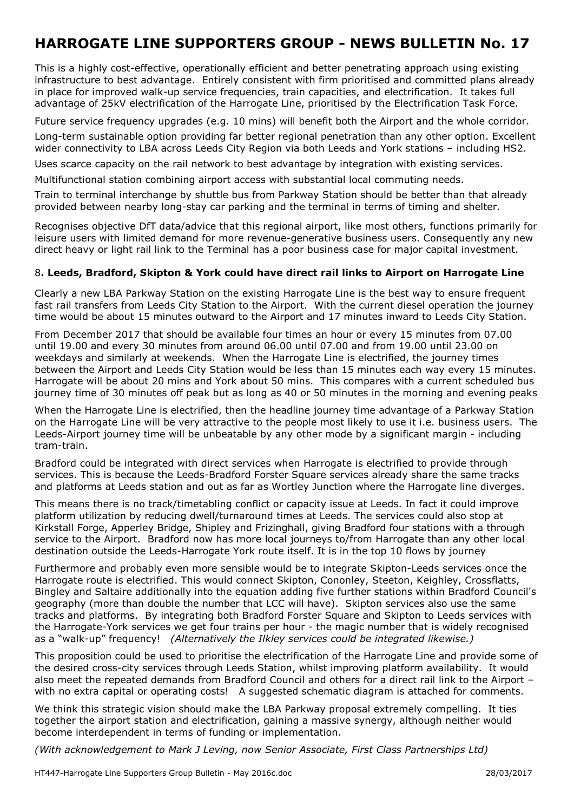This is a highly cost-effective, operationally efficient and better penetrating approach using existing infrastructure to best advantage. Entirely consistent with firm prioritised and committed plans already in place for improved walk-up service frequencies, train capacities, and electrification. It takes full advantage of 25kV electrification of the Harrogate Line, prioritised by the Electrification Task Force.

Future service frequency upgrades (e.g. 10 mins) will benefit both the Airport and the whole corridor.

Long-term sustainable option providing far better regional penetration than any other option. Excellent wider connectivity to LBA across Leeds City Region via both Leeds and York stations – including HS2.

Uses scarce capacity on the rail network to best advantage by integration with existing services.

Multifunctional station combining airport access with substantial local commuting needs.

Train to terminal interchange by shuttle bus from Parkway Station should be better than that already provided between nearby long-stay car parking and the terminal in terms of timing and shelter.

Recognises objective DfT data/advice that this regional airport, like most others, functions primarily for leisure users with limited demand for more revenue-generative business users. Consequently any new direct heavy or light rail link to the Terminal has a poor business case for major capital investment.

#### 8**. Leeds, Bradford, Skipton & York could have direct rail links to Airport on Harrogate Line**

Clearly a new LBA Parkway Station on the existing Harrogate Line is the best way to ensure frequent fast rail transfers from Leeds City Station to the Airport. With the current diesel operation the journey time would be about 15 minutes outward to the Airport and 17 minutes inward to Leeds City Station.

From December 2017 that should be available four times an hour or every 15 minutes from 07.00 until 19.00 and every 30 minutes from around 06.00 until 07.00 and from 19.00 until 23.00 on weekdays and similarly at weekends. When the Harrogate Line is electrified, the journey times between the Airport and Leeds City Station would be less than 15 minutes each way every 15 minutes. Harrogate will be about 20 mins and York about 50 mins. This compares with a current scheduled bus journey time of 30 minutes off peak but as long as 40 or 50 minutes in the morning and evening peaks

When the Harrogate Line is electrified, then the headline journey time advantage of a Parkway Station on the Harrogate Line will be very attractive to the people most likely to use it i.e. business users. The Leeds-Airport journey time will be unbeatable by any other mode by a significant margin - including tram-train.

Bradford could be integrated with direct services when Harrogate is electrified to provide through services. This is because the Leeds-Bradford Forster Square services already share the same tracks and platforms at Leeds station and out as far as Wortley Junction where the Harrogate line diverges.

This means there is no track/timetabling conflict or capacity issue at Leeds. In fact it could improve platform utilization by reducing dwell/turnaround times at Leeds. The services could also stop at Kirkstall Forge, Apperley Bridge, Shipley and Frizinghall, giving Bradford four stations with a through service to the Airport. Bradford now has more local journeys to/from Harrogate than any other local destination outside the Leeds-Harrogate York route itself. It is in the top 10 flows by journey

Furthermore and probably even more sensible would be to integrate Skipton-Leeds services once the Harrogate route is electrified. This would connect Skipton, Cononley, Steeton, Keighley, Crossflatts, Bingley and Saltaire additionally into the equation adding five further stations within Bradford Council's geography (more than double the number that LCC will have). Skipton services also use the same tracks and platforms. By integrating both Bradford Forster Square and Skipton to Leeds services with the Harrogate-York services we get four trains per hour - the magic number that is widely recognised as a "walk-up" frequency! *(Alternatively the Ilkley services could be integrated likewise.)*

This proposition could be used to prioritise the electrification of the Harrogate Line and provide some of the desired cross-city services through Leeds Station, whilst improving platform availability. It would also meet the repeated demands from Bradford Council and others for a direct rail link to the Airport – with no extra capital or operating costs! A suggested schematic diagram is attached for comments.

We think this strategic vision should make the LBA Parkway proposal extremely compelling. It ties together the airport station and electrification, gaining a massive synergy, although neither would become interdependent in terms of funding or implementation.

*(With acknowledgement to Mark J Leving, now Senior Associate, First Class Partnerships Ltd)*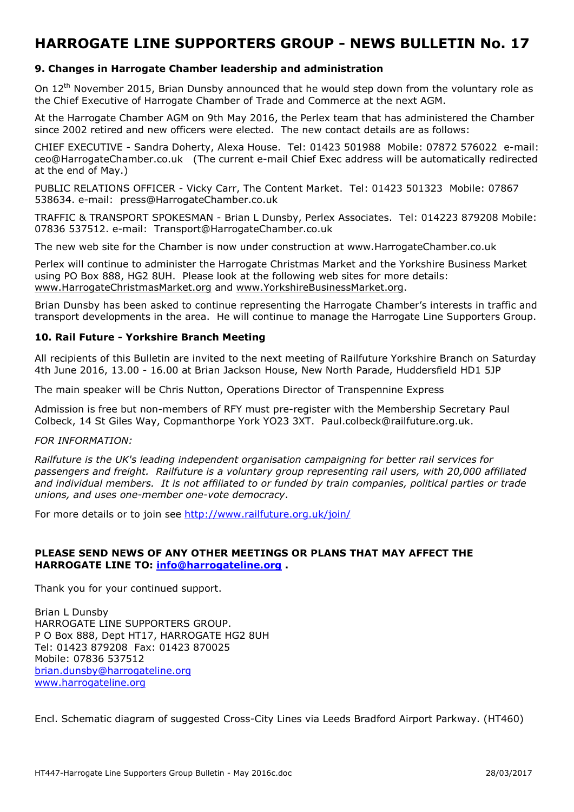#### **9. Changes in Harrogate Chamber leadership and administration**

On 12<sup>th</sup> November 2015, Brian Dunsby announced that he would step down from the voluntary role as the Chief Executive of Harrogate Chamber of Trade and Commerce at the next AGM.

At the Harrogate Chamber AGM on 9th May 2016, the Perlex team that has administered the Chamber since 2002 retired and new officers were elected. The new contact details are as follows:

CHIEF EXECUTIVE - Sandra Doherty, Alexa House. Tel: 01423 501988 Mobile: 07872 576022 e-mail: ceo@HarrogateChamber.co.uk (The current e-mail Chief Exec address will be automatically redirected at the end of May.)

PUBLIC RELATIONS OFFICER - Vicky Carr, The Content Market. Tel: 01423 501323 Mobile: 07867 538634. e-mail: press@HarrogateChamber.co.uk

TRAFFIC & TRANSPORT SPOKESMAN - Brian L Dunsby, Perlex Associates. Tel: 014223 879208 Mobile: 07836 537512. e-mail: Transport@HarrogateChamber.co.uk

The new web site for the Chamber is now under construction at www.HarrogateChamber.co.uk

Perlex will continue to administer the Harrogate Christmas Market and the Yorkshire Business Market using PO Box 888, HG2 8UH. Please look at the following web sites for more details: www.HarrogateChristmasMarket.org and www.YorkshireBusinessMarket.org.

Brian Dunsby has been asked to continue representing the Harrogate Chamber's interests in traffic and transport developments in the area. He will continue to manage the Harrogate Line Supporters Group.

#### **10. Rail Future - Yorkshire Branch Meeting**

All recipients of this Bulletin are invited to the next meeting of Railfuture Yorkshire Branch on Saturday 4th June 2016, 13.00 - 16.00 at Brian Jackson House, New North Parade, Huddersfield HD1 5JP

The main speaker will be Chris Nutton, Operations Director of Transpennine Express

Admission is free but non-members of RFY must pre-register with the Membership Secretary Paul Colbeck, 14 St Giles Way, Copmanthorpe York YO23 3XT. Paul.colbeck@railfuture.org.uk.

#### *FOR INFORMATION:*

*Railfuture is the UK's leading independent organisation campaigning for better rail services for passengers and freight. Railfuture is a voluntary group representing rail users, with 20,000 affiliated and individual members. It is not affiliated to or funded by train companies, political parties or trade unions, and uses one-member one-vote democracy*.

For more details or to join see http://www.railfuture.org.uk/join/

#### **PLEASE SEND NEWS OF ANY OTHER MEETINGS OR PLANS THAT MAY AFFECT THE HARROGATE LINE TO: info@harrogateline.org .**

Thank you for your continued support.

Brian L Dunsby HARROGATE LINE SUPPORTERS GROUP. P O Box 888, Dept HT17, HARROGATE HG2 8UH Tel: 01423 879208 Fax: 01423 870025 Mobile: 07836 537512 brian.dunsby@harrogateline.org www.harrogateline.org

Encl. Schematic diagram of suggested Cross-City Lines via Leeds Bradford Airport Parkway. (HT460)